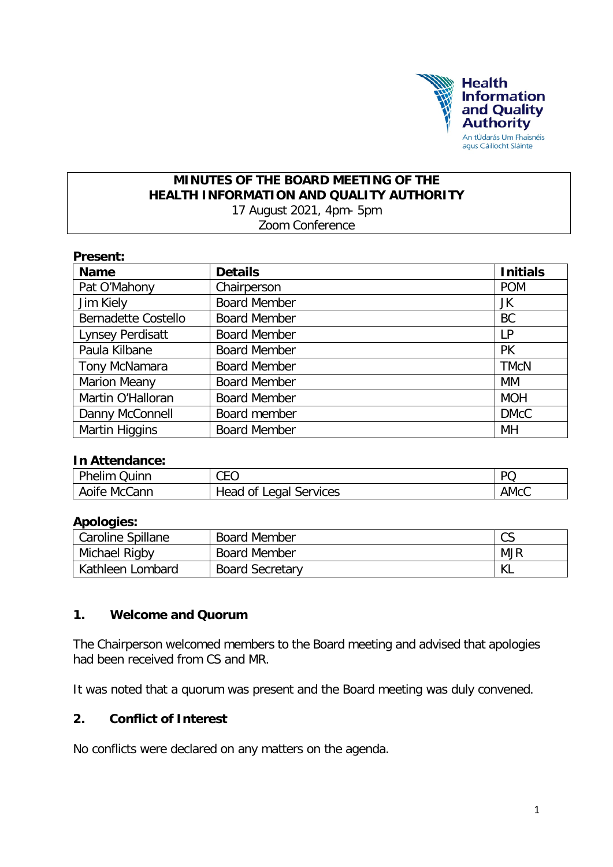

### **MINUTES OF THE BOARD MEETING OF THE HEALTH INFORMATION AND QUALITY AUTHORITY** 17 August 2021, 4pm- 5pm Zoom Conference

| Present:                   |                     |                 |  |  |  |
|----------------------------|---------------------|-----------------|--|--|--|
| <b>Name</b>                | <b>Details</b>      | <b>Initials</b> |  |  |  |
| Pat O'Mahony               | Chairperson         | <b>POM</b>      |  |  |  |
| Jim Kiely                  | <b>Board Member</b> | JK              |  |  |  |
| <b>Bernadette Costello</b> | <b>Board Member</b> | <b>BC</b>       |  |  |  |
| Lynsey Perdisatt           | <b>Board Member</b> | LP              |  |  |  |
| Paula Kilbane              | <b>Board Member</b> | <b>PK</b>       |  |  |  |
| Tony McNamara              | <b>Board Member</b> | <b>TMcN</b>     |  |  |  |
| <b>Marion Meany</b>        | <b>Board Member</b> | МM              |  |  |  |
| Martin O'Halloran          | <b>Board Member</b> | <b>MOH</b>      |  |  |  |
| Danny McConnell            | Board member        | <b>DMcC</b>     |  |  |  |
| Martin Higgins             | <b>Board Member</b> | MH              |  |  |  |

### **In Attendance:**

| uinn.<br>nelim                        | ^r^<br>◡∟◡              | DC          |
|---------------------------------------|-------------------------|-------------|
| Cann<br>Mc<br>Aoife<br>A <sub>1</sub> | Services<br>Οİ<br>Legal | <b>AMCC</b> |

## **Apologies:**

| Caroline Spillane | <b>Board Member</b>    | $\sim$<br>◡◡ |
|-------------------|------------------------|--------------|
| Michael Rigby     | <b>Board Member</b>    | <b>MJR</b>   |
| Kathleen Lombard  | <b>Board Secretary</b> | NL.          |

## **1. Welcome and Quorum**

The Chairperson welcomed members to the Board meeting and advised that apologies had been received from CS and MR.

It was noted that a quorum was present and the Board meeting was duly convened.

## **2. Conflict of Interest**

No conflicts were declared on any matters on the agenda.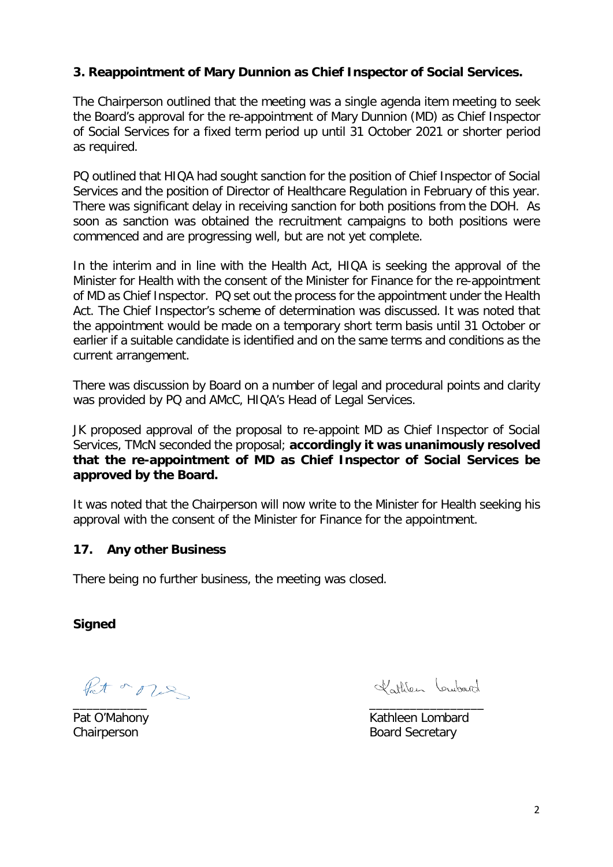## **3. Reappointment of Mary Dunnion as Chief Inspector of Social Services.**

The Chairperson outlined that the meeting was a single agenda item meeting to seek the Board's approval for the re-appointment of Mary Dunnion (MD) as Chief Inspector of Social Services for a fixed term period up until 31 October 2021 or shorter period as required.

PQ outlined that HIQA had sought sanction for the position of Chief Inspector of Social Services and the position of Director of Healthcare Regulation in February of this year. There was significant delay in receiving sanction for both positions from the DOH. As soon as sanction was obtained the recruitment campaigns to both positions were commenced and are progressing well, but are not yet complete.

In the interim and in line with the Health Act, HIQA is seeking the approval of the Minister for Health with the consent of the Minister for Finance for the re-appointment of MD as Chief Inspector. PQ set out the process for the appointment under the Health Act. The Chief Inspector's scheme of determination was discussed. It was noted that the appointment would be made on a temporary short term basis until 31 October or earlier if a suitable candidate is identified and on the same terms and conditions as the current arrangement.

There was discussion by Board on a number of legal and procedural points and clarity was provided by PQ and AMcC, HIQA's Head of Legal Services.

JK proposed approval of the proposal to re-appoint MD as Chief Inspector of Social Services, TMcN seconded the proposal; **accordingly it was unanimously resolved that the re-appointment of MD as Chief Inspector of Social Services be approved by the Board.**

It was noted that the Chairperson will now write to the Minister for Health seeking his approval with the consent of the Minister for Finance for the appointment.

### **17. Any other Business**

There being no further business, the meeting was closed.

**Signed**

Pat or our \_\_\_\_\_\_\_\_\_\_\_ \_\_\_\_\_\_\_\_\_\_\_\_\_\_\_\_\_

Vottien Lewbard

Pat O'Mahony **Kathleen Lombard** Chairperson **Board Secretary**